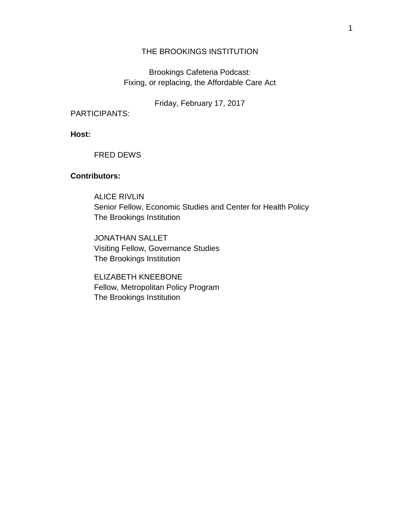# THE BROOKINGS INSTITUTION

Brookings Cafeteria Podcast: Fixing, or replacing, the Affordable Care Act

Friday, February 17, 2017

PARTICIPANTS:

**Host:**

## FRED DEWS

# **Contributors:**

ALICE RIVLIN Senior Fellow, Economic Studies and Center for Health Policy The Brookings Institution

JONATHAN SALLET Visiting Fellow, Governance Studies The Brookings Institution

ELIZABETH KNEEBONE Fellow, Metropolitan Policy Program The Brookings Institution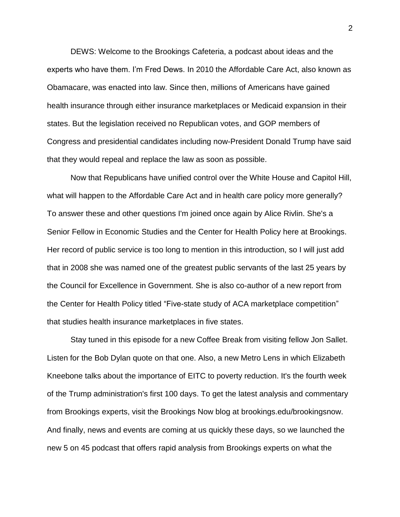DEWS: Welcome to the Brookings Cafeteria, a podcast about ideas and the experts who have them. I'm Fred Dews. In 2010 the Affordable Care Act, also known as Obamacare, was enacted into law. Since then, millions of Americans have gained health insurance through either insurance marketplaces or Medicaid expansion in their states. But the legislation received no Republican votes, and GOP members of Congress and presidential candidates including now-President Donald Trump have said that they would repeal and replace the law as soon as possible.

Now that Republicans have unified control over the White House and Capitol Hill, what will happen to the Affordable Care Act and in health care policy more generally? To answer these and other questions I'm joined once again by Alice Rivlin. She's a Senior Fellow in Economic Studies and the Center for Health Policy here at Brookings. Her record of public service is too long to mention in this introduction, so I will just add that in 2008 she was named one of the greatest public servants of the last 25 years by the Council for Excellence in Government. She is also co-author of a new report from the Center for Health Policy titled "Five-state study of ACA marketplace competition" that studies health insurance marketplaces in five states.

Stay tuned in this episode for a new Coffee Break from visiting fellow Jon Sallet. Listen for the Bob Dylan quote on that one. Also, a new Metro Lens in which Elizabeth Kneebone talks about the importance of EITC to poverty reduction. It's the fourth week of the Trump administration's first 100 days. To get the latest analysis and commentary from Brookings experts, visit the Brookings Now blog at brookings.edu/brookingsnow. And finally, news and events are coming at us quickly these days, so we launched the new 5 on 45 podcast that offers rapid analysis from Brookings experts on what the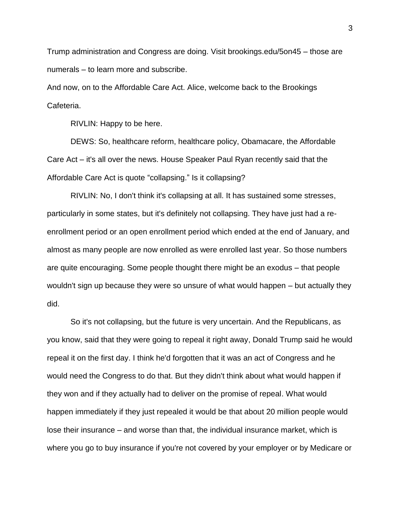Trump administration and Congress are doing. Visit brookings.edu/5on45 – those are numerals – to learn more and subscribe.

And now, on to the Affordable Care Act. Alice, welcome back to the Brookings Cafeteria.

RIVLIN: Happy to be here.

DEWS: So, healthcare reform, healthcare policy, Obamacare, the Affordable Care Act – it's all over the news. House Speaker Paul Ryan recently said that the Affordable Care Act is quote "collapsing." Is it collapsing?

RIVLIN: No, I don't think it's collapsing at all. It has sustained some stresses, particularly in some states, but it's definitely not collapsing. They have just had a reenrollment period or an open enrollment period which ended at the end of January, and almost as many people are now enrolled as were enrolled last year. So those numbers are quite encouraging. Some people thought there might be an exodus – that people wouldn't sign up because they were so unsure of what would happen – but actually they did.

So it's not collapsing, but the future is very uncertain. And the Republicans, as you know, said that they were going to repeal it right away, Donald Trump said he would repeal it on the first day. I think he'd forgotten that it was an act of Congress and he would need the Congress to do that. But they didn't think about what would happen if they won and if they actually had to deliver on the promise of repeal. What would happen immediately if they just repealed it would be that about 20 million people would lose their insurance – and worse than that, the individual insurance market, which is where you go to buy insurance if you're not covered by your employer or by Medicare or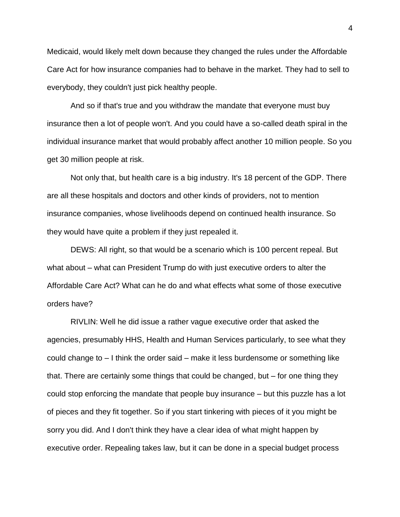Medicaid, would likely melt down because they changed the rules under the Affordable Care Act for how insurance companies had to behave in the market. They had to sell to everybody, they couldn't just pick healthy people.

And so if that's true and you withdraw the mandate that everyone must buy insurance then a lot of people won't. And you could have a so-called death spiral in the individual insurance market that would probably affect another 10 million people. So you get 30 million people at risk.

Not only that, but health care is a big industry. It's 18 percent of the GDP. There are all these hospitals and doctors and other kinds of providers, not to mention insurance companies, whose livelihoods depend on continued health insurance. So they would have quite a problem if they just repealed it.

DEWS: All right, so that would be a scenario which is 100 percent repeal. But what about – what can President Trump do with just executive orders to alter the Affordable Care Act? What can he do and what effects what some of those executive orders have?

RIVLIN: Well he did issue a rather vague executive order that asked the agencies, presumably HHS, Health and Human Services particularly, to see what they could change to – I think the order said – make it less burdensome or something like that. There are certainly some things that could be changed, but – for one thing they could stop enforcing the mandate that people buy insurance – but this puzzle has a lot of pieces and they fit together. So if you start tinkering with pieces of it you might be sorry you did. And I don't think they have a clear idea of what might happen by executive order. Repealing takes law, but it can be done in a special budget process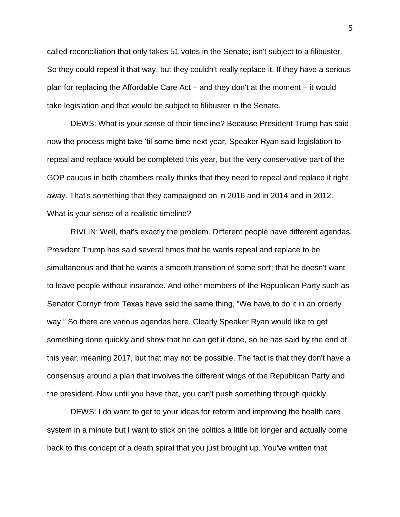called reconciliation that only takes 51 votes in the Senate; isn't subject to a filibuster. So they could repeal it that way, but they couldn't really replace it. If they have a serious plan for replacing the Affordable Care Act – and they don't at the moment – it would take legislation and that would be subject to filibuster in the Senate.

DEWS: What is your sense of their timeline? Because President Trump has said now the process might take 'til some time next year, Speaker Ryan said legislation to repeal and replace would be completed this year, but the very conservative part of the GOP caucus in both chambers really thinks that they need to repeal and replace it right away. That's something that they campaigned on in 2016 and in 2014 and in 2012. What is your sense of a realistic timeline?

RIVLIN: Well, that's exactly the problem. Different people have different agendas. President Trump has said several times that he wants repeal and replace to be simultaneous and that he wants a smooth transition of some sort; that he doesn't want to leave people without insurance. And other members of the Republican Party such as Senator Cornyn from Texas have said the same thing, "We have to do it in an orderly way." So there are various agendas here. Clearly Speaker Ryan would like to get something done quickly and show that he can get it done, so he has said by the end of this year, meaning 2017, but that may not be possible. The fact is that they don't have a consensus around a plan that involves the different wings of the Republican Party and the president. Now until you have that, you can't push something through quickly.

DEWS: I do want to get to your ideas for reform and improving the health care system in a minute but I want to stick on the politics a little bit longer and actually come back to this concept of a death spiral that you just brought up. You've written that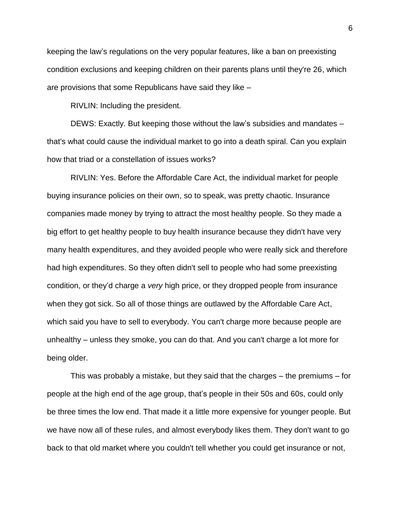keeping the law's regulations on the very popular features, like a ban on preexisting condition exclusions and keeping children on their parents plans until they're 26, which are provisions that some Republicans have said they like –

RIVLIN: Including the president.

DEWS: Exactly. But keeping those without the law's subsidies and mandates – that's what could cause the individual market to go into a death spiral. Can you explain how that triad or a constellation of issues works?

RIVLIN: Yes. Before the Affordable Care Act, the individual market for people buying insurance policies on their own, so to speak, was pretty chaotic. Insurance companies made money by trying to attract the most healthy people. So they made a big effort to get healthy people to buy health insurance because they didn't have very many health expenditures, and they avoided people who were really sick and therefore had high expenditures. So they often didn't sell to people who had some preexisting condition, or they'd charge a *very* high price, or they dropped people from insurance when they got sick. So all of those things are outlawed by the Affordable Care Act, which said you have to sell to everybody. You can't charge more because people are unhealthy – unless they smoke, you can do that. And you can't charge a lot more for being older.

This was probably a mistake, but they said that the charges – the premiums – for people at the high end of the age group, that's people in their 50s and 60s, could only be three times the low end. That made it a little more expensive for younger people. But we have now all of these rules, and almost everybody likes them. They don't want to go back to that old market where you couldn't tell whether you could get insurance or not,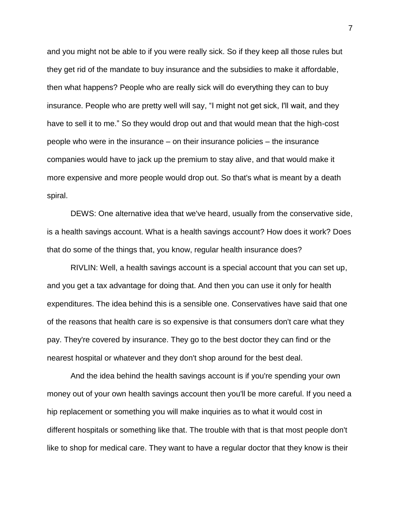and you might not be able to if you were really sick. So if they keep all those rules but they get rid of the mandate to buy insurance and the subsidies to make it affordable, then what happens? People who are really sick will do everything they can to buy insurance. People who are pretty well will say, "I might not get sick, I'll wait, and they have to sell it to me." So they would drop out and that would mean that the high-cost people who were in the insurance – on their insurance policies – the insurance companies would have to jack up the premium to stay alive, and that would make it more expensive and more people would drop out. So that's what is meant by a death spiral.

DEWS: One alternative idea that we've heard, usually from the conservative side, is a health savings account. What is a health savings account? How does it work? Does that do some of the things that, you know, regular health insurance does?

RIVLIN: Well, a health savings account is a special account that you can set up, and you get a tax advantage for doing that. And then you can use it only for health expenditures. The idea behind this is a sensible one. Conservatives have said that one of the reasons that health care is so expensive is that consumers don't care what they pay. They're covered by insurance. They go to the best doctor they can find or the nearest hospital or whatever and they don't shop around for the best deal.

And the idea behind the health savings account is if you're spending your own money out of your own health savings account then you'll be more careful. If you need a hip replacement or something you will make inquiries as to what it would cost in different hospitals or something like that. The trouble with that is that most people don't like to shop for medical care. They want to have a regular doctor that they know is their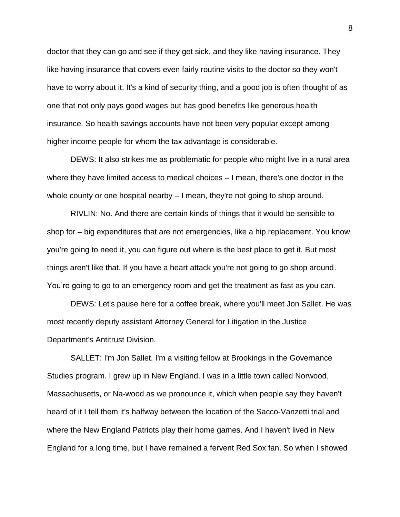doctor that they can go and see if they get sick, and they like having insurance. They like having insurance that covers even fairly routine visits to the doctor so they won't have to worry about it. It's a kind of security thing, and a good job is often thought of as one that not only pays good wages but has good benefits like generous health insurance. So health savings accounts have not been very popular except among higher income people for whom the tax advantage is considerable.

DEWS: It also strikes me as problematic for people who might live in a rural area where they have limited access to medical choices – I mean, there's one doctor in the whole county or one hospital nearby – I mean, they're not going to shop around.

RIVLIN: No. And there are certain kinds of things that it would be sensible to shop for – big expenditures that are not emergencies, like a hip replacement. You know you're going to need it, you can figure out where is the best place to get it. But most things aren't like that. If you have a heart attack you're not going to go shop around. You're going to go to an emergency room and get the treatment as fast as you can.

DEWS: Let's pause here for a coffee break, where you'll meet Jon Sallet. He was most recently deputy assistant Attorney General for Litigation in the Justice Department's Antitrust Division.

SALLET: I'm Jon Sallet. I'm a visiting fellow at Brookings in the Governance Studies program. I grew up in New England. I was in a little town called Norwood, Massachusetts, or Na-wood as we pronounce it, which when people say they haven't heard of it I tell them it's halfway between the location of the Sacco-Vanzetti trial and where the New England Patriots play their home games. And I haven't lived in New England for a long time, but I have remained a fervent Red Sox fan. So when I showed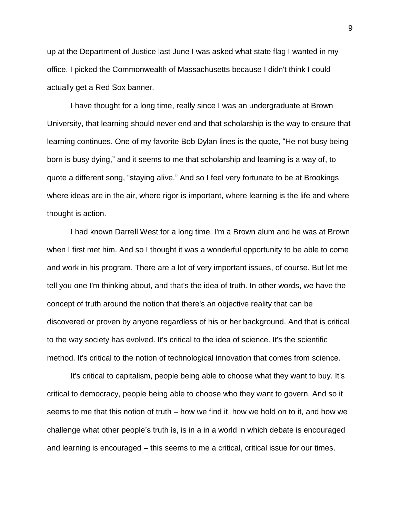up at the Department of Justice last June I was asked what state flag I wanted in my office. I picked the Commonwealth of Massachusetts because I didn't think I could actually get a Red Sox banner.

I have thought for a long time, really since I was an undergraduate at Brown University, that learning should never end and that scholarship is the way to ensure that learning continues. One of my favorite Bob Dylan lines is the quote, "He not busy being born is busy dying," and it seems to me that scholarship and learning is a way of, to quote a different song, "staying alive." And so I feel very fortunate to be at Brookings where ideas are in the air, where rigor is important, where learning is the life and where thought is action.

I had known Darrell West for a long time. I'm a Brown alum and he was at Brown when I first met him. And so I thought it was a wonderful opportunity to be able to come and work in his program. There are a lot of very important issues, of course. But let me tell you one I'm thinking about, and that's the idea of truth. In other words, we have the concept of truth around the notion that there's an objective reality that can be discovered or proven by anyone regardless of his or her background. And that is critical to the way society has evolved. It's critical to the idea of science. It's the scientific method. It's critical to the notion of technological innovation that comes from science.

It's critical to capitalism, people being able to choose what they want to buy. It's critical to democracy, people being able to choose who they want to govern. And so it seems to me that this notion of truth – how we find it, how we hold on to it, and how we challenge what other people's truth is, is in a in a world in which debate is encouraged and learning is encouraged – this seems to me a critical, critical issue for our times.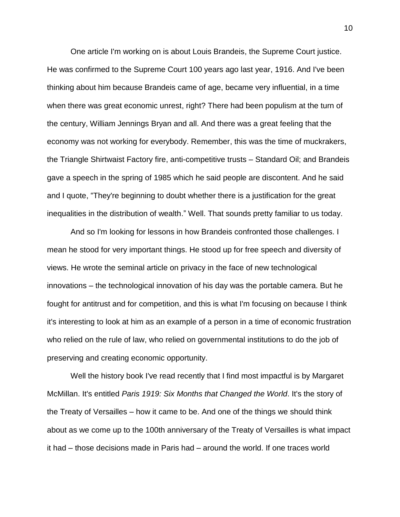One article I'm working on is about Louis Brandeis, the Supreme Court justice. He was confirmed to the Supreme Court 100 years ago last year, 1916. And I've been thinking about him because Brandeis came of age, became very influential, in a time when there was great economic unrest, right? There had been populism at the turn of the century, William Jennings Bryan and all. And there was a great feeling that the economy was not working for everybody. Remember, this was the time of muckrakers, the Triangle Shirtwaist Factory fire, anti-competitive trusts – Standard Oil; and Brandeis gave a speech in the spring of 1985 which he said people are discontent. And he said and I quote, "They're beginning to doubt whether there is a justification for the great inequalities in the distribution of wealth." Well. That sounds pretty familiar to us today.

And so I'm looking for lessons in how Brandeis confronted those challenges. I mean he stood for very important things. He stood up for free speech and diversity of views. He wrote the seminal article on privacy in the face of new technological innovations – the technological innovation of his day was the portable camera. But he fought for antitrust and for competition, and this is what I'm focusing on because I think it's interesting to look at him as an example of a person in a time of economic frustration who relied on the rule of law, who relied on governmental institutions to do the job of preserving and creating economic opportunity.

Well the history book I've read recently that I find most impactful is by Margaret McMillan. It's entitled *Paris 1919: Six Months that Changed the World*. It's the story of the Treaty of Versailles – how it came to be. And one of the things we should think about as we come up to the 100th anniversary of the Treaty of Versailles is what impact it had – those decisions made in Paris had – around the world. If one traces world

10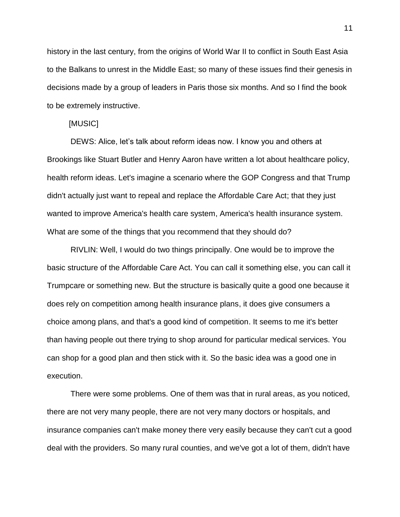history in the last century, from the origins of World War II to conflict in South East Asia to the Balkans to unrest in the Middle East; so many of these issues find their genesis in decisions made by a group of leaders in Paris those six months. And so I find the book to be extremely instructive.

### [MUSIC]

DEWS: Alice, let's talk about reform ideas now. I know you and others at Brookings like Stuart Butler and Henry Aaron have written a lot about healthcare policy, health reform ideas. Let's imagine a scenario where the GOP Congress and that Trump didn't actually just want to repeal and replace the Affordable Care Act; that they just wanted to improve America's health care system, America's health insurance system. What are some of the things that you recommend that they should do?

RIVLIN: Well, I would do two things principally. One would be to improve the basic structure of the Affordable Care Act. You can call it something else, you can call it Trumpcare or something new. But the structure is basically quite a good one because it does rely on competition among health insurance plans, it does give consumers a choice among plans, and that's a good kind of competition. It seems to me it's better than having people out there trying to shop around for particular medical services. You can shop for a good plan and then stick with it. So the basic idea was a good one in execution.

There were some problems. One of them was that in rural areas, as you noticed, there are not very many people, there are not very many doctors or hospitals, and insurance companies can't make money there very easily because they can't cut a good deal with the providers. So many rural counties, and we've got a lot of them, didn't have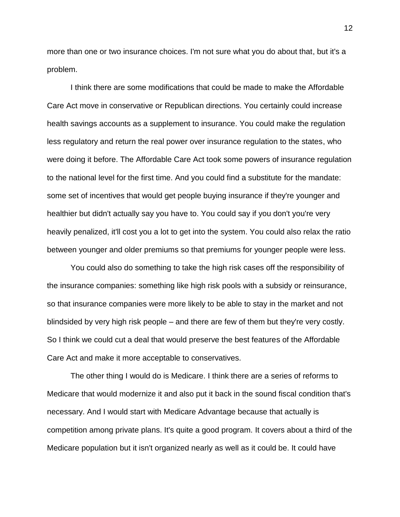more than one or two insurance choices. I'm not sure what you do about that, but it's a problem.

I think there are some modifications that could be made to make the Affordable Care Act move in conservative or Republican directions. You certainly could increase health savings accounts as a supplement to insurance. You could make the regulation less regulatory and return the real power over insurance regulation to the states, who were doing it before. The Affordable Care Act took some powers of insurance regulation to the national level for the first time. And you could find a substitute for the mandate: some set of incentives that would get people buying insurance if they're younger and healthier but didn't actually say you have to. You could say if you don't you're very heavily penalized, it'll cost you a lot to get into the system. You could also relax the ratio between younger and older premiums so that premiums for younger people were less.

You could also do something to take the high risk cases off the responsibility of the insurance companies: something like high risk pools with a subsidy or reinsurance, so that insurance companies were more likely to be able to stay in the market and not blindsided by very high risk people – and there are few of them but they're very costly. So I think we could cut a deal that would preserve the best features of the Affordable Care Act and make it more acceptable to conservatives.

The other thing I would do is Medicare. I think there are a series of reforms to Medicare that would modernize it and also put it back in the sound fiscal condition that's necessary. And I would start with Medicare Advantage because that actually is competition among private plans. It's quite a good program. It covers about a third of the Medicare population but it isn't organized nearly as well as it could be. It could have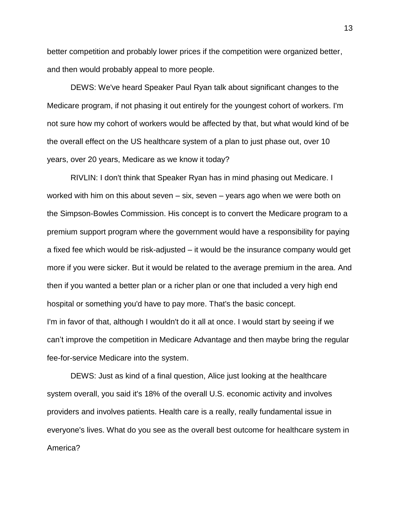better competition and probably lower prices if the competition were organized better, and then would probably appeal to more people.

DEWS: We've heard Speaker Paul Ryan talk about significant changes to the Medicare program, if not phasing it out entirely for the youngest cohort of workers. I'm not sure how my cohort of workers would be affected by that, but what would kind of be the overall effect on the US healthcare system of a plan to just phase out, over 10 years, over 20 years, Medicare as we know it today?

RIVLIN: I don't think that Speaker Ryan has in mind phasing out Medicare. I worked with him on this about seven – six, seven – years ago when we were both on the Simpson-Bowles Commission. His concept is to convert the Medicare program to a premium support program where the government would have a responsibility for paying a fixed fee which would be risk-adjusted – it would be the insurance company would get more if you were sicker. But it would be related to the average premium in the area. And then if you wanted a better plan or a richer plan or one that included a very high end hospital or something you'd have to pay more. That's the basic concept. I'm in favor of that, although I wouldn't do it all at once. I would start by seeing if we can't improve the competition in Medicare Advantage and then maybe bring the regular fee-for-service Medicare into the system.

DEWS: Just as kind of a final question, Alice just looking at the healthcare system overall, you said it's 18% of the overall U.S. economic activity and involves providers and involves patients. Health care is a really, really fundamental issue in everyone's lives. What do you see as the overall best outcome for healthcare system in America?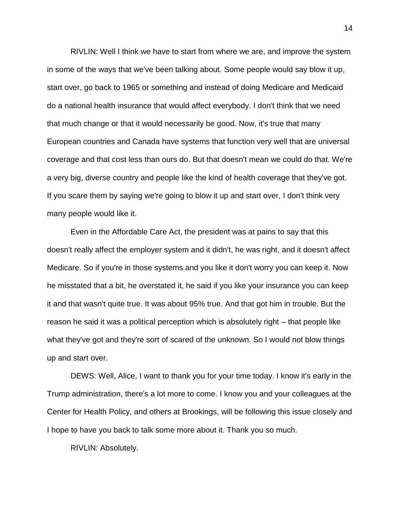RIVLIN: Well I think we have to start from where we are, and improve the system in some of the ways that we've been talking about. Some people would say blow it up, start over, go back to 1965 or something and instead of doing Medicare and Medicaid do a national health insurance that would affect everybody. I don't think that we need that much change or that it would necessarily be good. Now, it's true that many European countries and Canada have systems that function very well that are universal coverage and that cost less than ours do. But that doesn't mean we could do that. We're a very big, diverse country and people like the kind of health coverage that they've got. If you scare them by saying we're going to blow it up and start over, I don't think very many people would like it.

Even in the Affordable Care Act, the president was at pains to say that this doesn't really affect the employer system and it didn't, he was right, and it doesn't affect Medicare. So if you're in those systems and you like it don't worry you can keep it. Now he misstated that a bit, he overstated it, he said if you like your insurance you can keep it and that wasn't quite true. It was about 95% true. And that got him in trouble. But the reason he said it was a political perception which is absolutely right – that people like what they've got and they're sort of scared of the unknown. So I would not blow things up and start over.

DEWS: Well, Alice, I want to thank you for your time today. I know it's early in the Trump administration, there's a lot more to come. I know you and your colleagues at the Center for Health Policy, and others at Brookings, will be following this issue closely and I hope to have you back to talk some more about it. Thank you so much.

RIVLIN: Absolutely.

14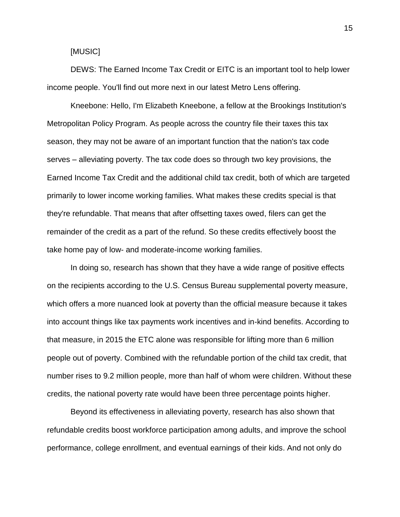### [MUSIC]

DEWS: The Earned Income Tax Credit or EITC is an important tool to help lower income people. You'll find out more next in our latest Metro Lens offering.

Kneebone: Hello, I'm Elizabeth Kneebone, a fellow at the Brookings Institution's Metropolitan Policy Program. As people across the country file their taxes this tax season, they may not be aware of an important function that the nation's tax code serves – alleviating poverty. The tax code does so through two key provisions, the Earned Income Tax Credit and the additional child tax credit, both of which are targeted primarily to lower income working families. What makes these credits special is that they're refundable. That means that after offsetting taxes owed, filers can get the remainder of the credit as a part of the refund. So these credits effectively boost the take home pay of low- and moderate-income working families.

In doing so, research has shown that they have a wide range of positive effects on the recipients according to the U.S. Census Bureau supplemental poverty measure, which offers a more nuanced look at poverty than the official measure because it takes into account things like tax payments work incentives and in-kind benefits. According to that measure, in 2015 the ETC alone was responsible for lifting more than 6 million people out of poverty. Combined with the refundable portion of the child tax credit, that number rises to 9.2 million people, more than half of whom were children. Without these credits, the national poverty rate would have been three percentage points higher.

Beyond its effectiveness in alleviating poverty, research has also shown that refundable credits boost workforce participation among adults, and improve the school performance, college enrollment, and eventual earnings of their kids. And not only do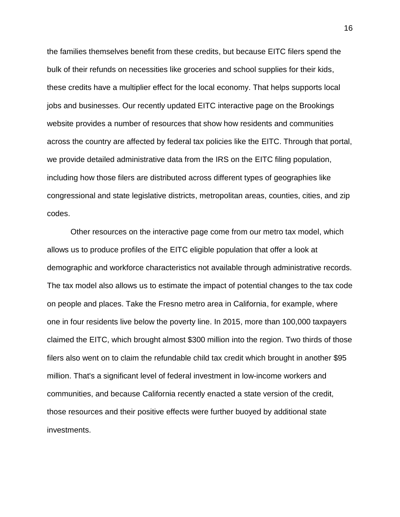the families themselves benefit from these credits, but because EITC filers spend the bulk of their refunds on necessities like groceries and school supplies for their kids, these credits have a multiplier effect for the local economy. That helps supports local jobs and businesses. Our recently updated EITC interactive page on the Brookings website provides a number of resources that show how residents and communities across the country are affected by federal tax policies like the EITC. Through that portal, we provide detailed administrative data from the IRS on the EITC filing population, including how those filers are distributed across different types of geographies like congressional and state legislative districts, metropolitan areas, counties, cities, and zip codes.

Other resources on the interactive page come from our metro tax model, which allows us to produce profiles of the EITC eligible population that offer a look at demographic and workforce characteristics not available through administrative records. The tax model also allows us to estimate the impact of potential changes to the tax code on people and places. Take the Fresno metro area in California, for example, where one in four residents live below the poverty line. In 2015, more than 100,000 taxpayers claimed the EITC, which brought almost \$300 million into the region. Two thirds of those filers also went on to claim the refundable child tax credit which brought in another \$95 million. That's a significant level of federal investment in low-income workers and communities, and because California recently enacted a state version of the credit, those resources and their positive effects were further buoyed by additional state investments.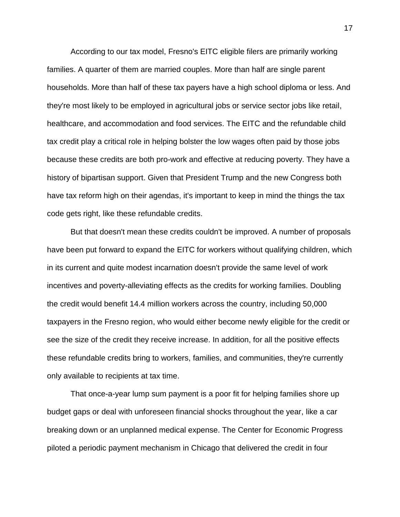According to our tax model, Fresno's EITC eligible filers are primarily working families. A quarter of them are married couples. More than half are single parent households. More than half of these tax payers have a high school diploma or less. And they're most likely to be employed in agricultural jobs or service sector jobs like retail, healthcare, and accommodation and food services. The EITC and the refundable child tax credit play a critical role in helping bolster the low wages often paid by those jobs because these credits are both pro-work and effective at reducing poverty. They have a history of bipartisan support. Given that President Trump and the new Congress both have tax reform high on their agendas, it's important to keep in mind the things the tax code gets right, like these refundable credits.

But that doesn't mean these credits couldn't be improved. A number of proposals have been put forward to expand the EITC for workers without qualifying children, which in its current and quite modest incarnation doesn't provide the same level of work incentives and poverty-alleviating effects as the credits for working families. Doubling the credit would benefit 14.4 million workers across the country, including 50,000 taxpayers in the Fresno region, who would either become newly eligible for the credit or see the size of the credit they receive increase. In addition, for all the positive effects these refundable credits bring to workers, families, and communities, they're currently only available to recipients at tax time.

That once-a-year lump sum payment is a poor fit for helping families shore up budget gaps or deal with unforeseen financial shocks throughout the year, like a car breaking down or an unplanned medical expense. The Center for Economic Progress piloted a periodic payment mechanism in Chicago that delivered the credit in four